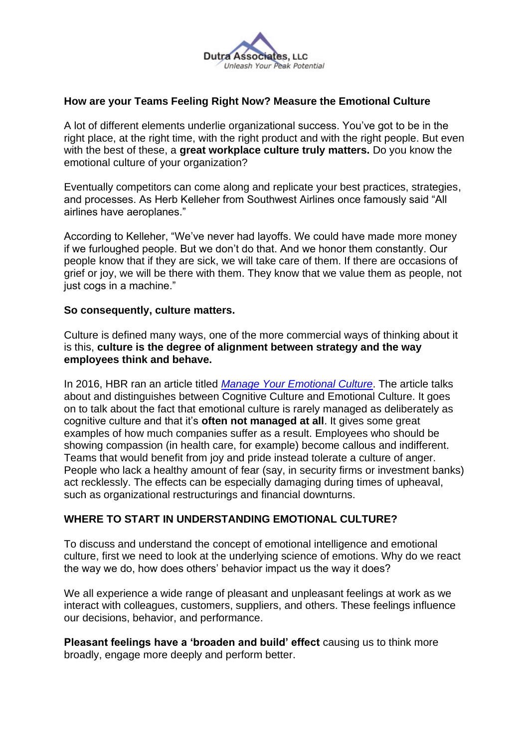

## **How are your Teams Feeling Right Now? Measure the Emotional Culture**

A lot of different elements underlie organizational success. You've got to be in the right place, at the right time, with the right product and with the right people. But even with the best of these, a **great workplace culture truly matters.** Do you know the emotional culture of your organization?

Eventually competitors can come along and replicate your best practices, strategies, and processes. As Herb Kelleher from Southwest Airlines once famously said "All airlines have aeroplanes."

According to Kelleher, "We've never had layoffs. We could have made more money if we furloughed people. But we don't do that. And we honor them constantly. Our people know that if they are sick, we will take care of them. If there are occasions of grief or joy, we will be there with them. They know that we value them as people, not just cogs in a machine."

#### **So consequently, culture matters.**

Culture is defined many ways, one of the more commercial ways of thinking about it is this, **culture is the degree of alignment between strategy and the way employees think and behave.**

In 2016, HBR ran an article titled *[Manage Your Emotional Culture](https://hbr.org/2016/01/manage-your-emotional-culture)*. The article talks about and distinguishes between Cognitive Culture and Emotional Culture. It goes on to talk about the fact that emotional culture is rarely managed as deliberately as cognitive culture and that it's **often not managed at all**. It gives some great examples of how much companies suffer as a result. Employees who should be showing compassion (in health care, for example) become callous and indifferent. Teams that would benefit from joy and pride instead tolerate a culture of anger. People who lack a healthy amount of fear (say, in security firms or investment banks) act recklessly. The effects can be especially damaging during times of upheaval, such as organizational restructurings and financial downturns.

### **WHERE TO START IN UNDERSTANDING EMOTIONAL CULTURE?**

To discuss and understand the concept of emotional intelligence and emotional culture, first we need to look at the underlying science of emotions. Why do we react the way we do, how does others' behavior impact us the way it does?

We all experience a wide range of pleasant and unpleasant feelings at work as we interact with colleagues, customers, suppliers, and others. These feelings influence our decisions, behavior, and performance.

**Pleasant feelings have a 'broaden and build' effect** causing us to think more broadly, engage more deeply and perform better.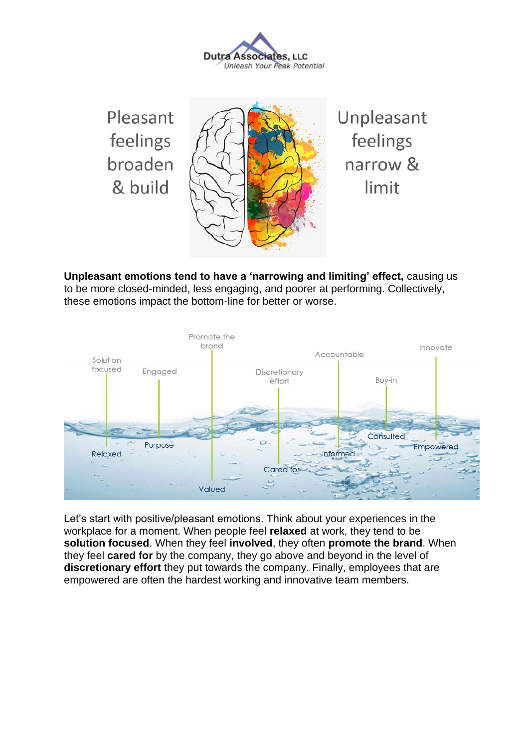**Dutra Associates, LLC** Unleash Your Peak Potential

Pleasant feelings broaden & build

Unpleasant feelings narrow & limit

**Unpleasant emotions tend to have a 'narrowing and limiting' effect,** causing us to be more closed-minded, less engaging, and poorer at performing. Collectively, these emotions impact the bottom-line for better or worse.



Let's start with positive/pleasant emotions. Think about your experiences in the workplace for a moment. When people feel **relaxed** at work, they tend to be **solution focused**. When they feel **involved**, they often **promote the brand**. When they feel **cared for** by the company, they go above and beyond in the level of **discretionary effort** they put towards the company. Finally, employees that are empowered are often the hardest working and innovative team members.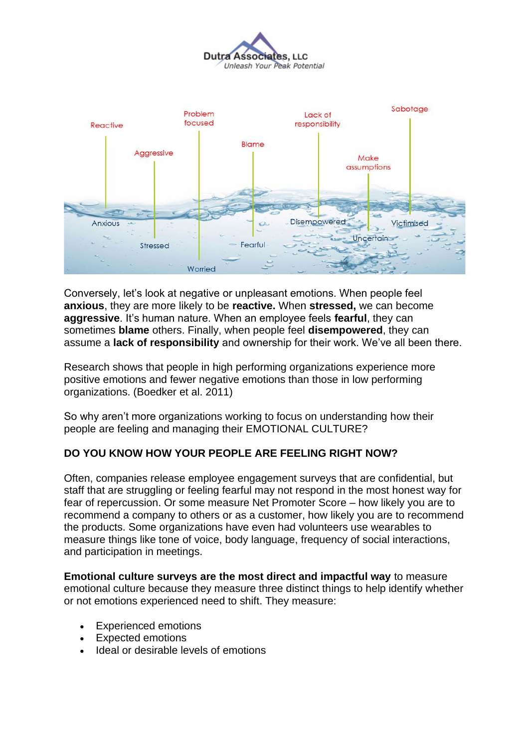



Conversely, let's look at negative or unpleasant emotions. When people feel **anxious**, they are more likely to be **reactive.** When **stressed,** we can become **aggressive**. It's human nature. When an employee feels **fearful**, they can sometimes **blame** others. Finally, when people feel **disempowered**, they can assume a **lack of responsibility** and ownership for their work. We've all been there.

Research shows that people in high performing organizations experience more positive emotions and fewer negative emotions than those in low performing organizations. (Boedker et al. 2011)

So why aren't more organizations working to focus on understanding how their people are feeling and managing their EMOTIONAL CULTURE?

### **DO YOU KNOW HOW YOUR PEOPLE ARE FEELING RIGHT NOW?**

Often, companies release employee engagement surveys that are confidential, but staff that are struggling or feeling fearful may not respond in the most honest way for fear of repercussion. Or some measure Net Promoter Score – how likely you are to recommend a company to others or as a customer, how likely you are to recommend the products. Some organizations have even had volunteers use wearables to measure things like tone of voice, body language, frequency of social interactions, and participation in meetings.

**Emotional culture surveys are the most direct and impactful way** to measure emotional culture because they measure three distinct things to help identify whether or not emotions experienced need to shift. They measure:

- Experienced emotions
- Expected emotions
- Ideal or desirable levels of emotions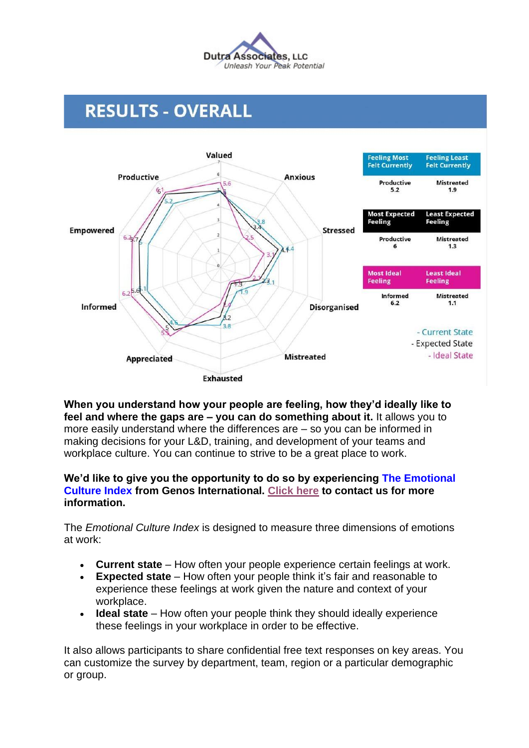

# **RESULTS - OVERALL**



**When you understand how your people are feeling, how they'd ideally like to feel and where the gaps are – you can do something about it.** It allows you to more easily understand where the differences are – so you can be informed in making decisions for your L&D, training, and development of your teams and workplace culture. You can continue to strive to be a great place to work.

### **We'd like to give you the opportunity to do so by experiencing The Emotional Culture Index from Genos International. [Click here](https://dutraassociates.com/contact/) to contact us for more information.**

The *Emotional Culture Index* is designed to measure three dimensions of emotions at work:

- **Current state**  How often your people experience certain feelings at work.
- **Expected state** How often your people think it's fair and reasonable to experience these feelings at work given the nature and context of your workplace.
- **Ideal state** How often your people think they should ideally experience these feelings in your workplace in order to be effective.

It also allows participants to share confidential free text responses on key areas. You can customize the survey by department, team, region or a particular demographic or group.